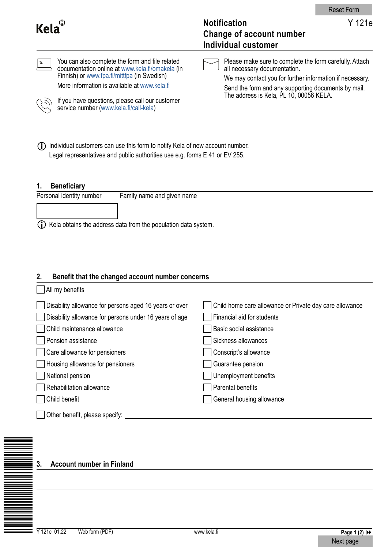| $Kela^{\mathbb{C}}$                                                                                                                                                                                                                                                                                                    | Y 121e<br><b>Notification</b><br><b>Change of account number</b><br><b>Individual customer</b>                                                                                                                                                        |
|------------------------------------------------------------------------------------------------------------------------------------------------------------------------------------------------------------------------------------------------------------------------------------------------------------------------|-------------------------------------------------------------------------------------------------------------------------------------------------------------------------------------------------------------------------------------------------------|
| You can also complete the form and file related<br>$\boldsymbol{\beta}$<br>documentation online at www.kela.fi/omakela (in<br>Finnish) or www.fpa.fi/mittfpa (in Swedish)<br>More information is available at www.kela.fi<br>If you have questions, please call our customer<br>service number (www.kela.fi/call-kela) | Please make sure to complete the form carefully. Attach<br>all necessary documentation.<br>We may contact you for further information if necessary.<br>Send the form and any supporting documents by mail.<br>The address is Kela, PL 10, 00056 KELA. |

(i) Individual customers can use this form to notify Kela of new account number. Legal representatives and public authorities use e.g. forms E 41 or EV 255.

# **1. Beneficiary**

| Personal identity number                                           | Family name and given name |
|--------------------------------------------------------------------|----------------------------|
|                                                                    |                            |
| (i) Kela obtains the address data from the population data system. |                            |

## **2. Benefit that the changed account number concerns**

| All my benefits                                        |                                                         |
|--------------------------------------------------------|---------------------------------------------------------|
| Disability allowance for persons aged 16 years or over | Child home care allowance or Private day care allowance |
| Disability allowance for persons under 16 years of age | Financial aid for students                              |
| Child maintenance allowance                            | Basic social assistance                                 |
| Pension assistance                                     | Sickness allowances                                     |
| Care allowance for pensioners                          | Conscript's allowance                                   |
| Housing allowance for pensioners                       | Guarantee pension                                       |
| National pension                                       | Unemployment benefits                                   |
| Rehabilitation allowance                               | Parental benefits                                       |
| Child benefit                                          | General housing allowance                               |
| Other benefit, please specify:                         |                                                         |

## **3. Account number in Finland**

ÉYÎN EVERENDE EVERENDE EVERENDE EVERENDE EVERENDE EVERENDE EVERENDE EVERENDE EVERENDE EVERENDE EVERENDE EVEREN<br>ÉVERENDE EVERENDE EVERENDE EVERENDE EVERENDE EVERENDE EVERENDE EVERENDE EVERENDE EVERENDE EVERENDE EVERENDE E